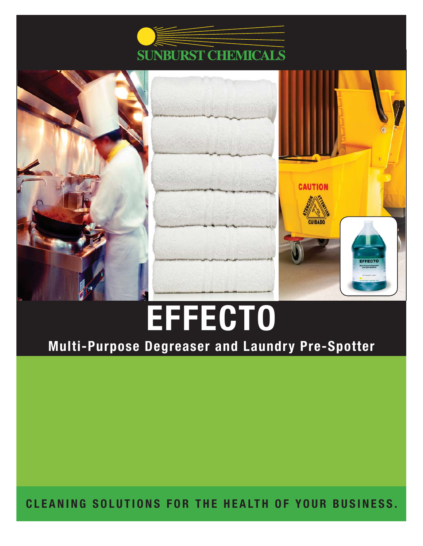



# **EFFECTO**

# **Multi-Purpose Degreaser and Laundry Pre-Spotter**

**CLEANING SOLUTIONS FOR THE HEALTH OF YOUR BUSINESS.**